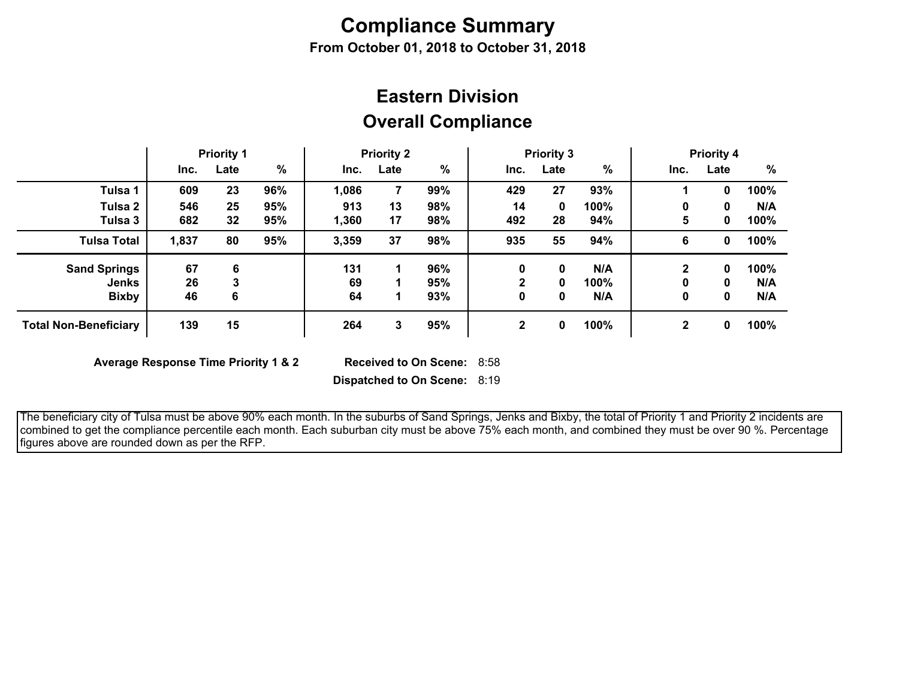# **Compliance Summary**

**From October 01, 2018 to October 31, 2018**

## **Overall Compliance Eastern Division**

|                              | <b>Priority 1</b> |      | <b>Priority 2</b> |       | <b>Priority 3</b> |     |              | <b>Priority 4</b> |               |             |      |      |
|------------------------------|-------------------|------|-------------------|-------|-------------------|-----|--------------|-------------------|---------------|-------------|------|------|
|                              | Inc.              | Late | $\%$              | Inc.  | Late              | %   | Inc.         | Late              | $\frac{0}{0}$ | Inc.        | Late | %    |
| Tulsa 1                      | 609               | 23   | 96%               | 1,086 | 7                 | 99% | 429          | 27                | 93%           |             | 0    | 100% |
| Tulsa 2                      | 546               | 25   | 95%               | 913   | 13                | 98% | 14           | 0                 | 100%          | 0           | 0    | N/A  |
| Tulsa 3                      | 682               | 32   | 95%               | 1,360 | 17                | 98% | 492          | 28                | 94%           | 5           | 0    | 100% |
| <b>Tulsa Total</b>           | 1,837             | 80   | 95%               | 3,359 | 37                | 98% | 935          | 55                | 94%           | 6           | 0    | 100% |
| <b>Sand Springs</b>          | 67                | 6    |                   | 131   |                   | 96% | 0            | 0                 | N/A           |             | 0    | 100% |
| <b>Jenks</b>                 | 26                | 3    |                   | 69    |                   | 95% | າ            | 0                 | 100%          |             | 0    | N/A  |
| <b>Bixby</b>                 | 46                | 6    |                   | 64    |                   | 93% | 0            | 0                 | N/A           | 0           | 0    | N/A  |
| <b>Total Non-Beneficiary</b> | 139               | 15   |                   | 264   | 3                 | 95% | $\mathbf{2}$ | 0                 | 100%          | $\mathbf 2$ | 0    | 100% |

**Average Response Time Priority 1 & 2** 

Received to On Scene: 8:58

**Dispatched to On Scene:** 8:19

 The beneficiary city of Tulsa must be above 90% each month. In the suburbs of Sand Springs, Jenks and Bixby, the total of Priority 1 and Priority 2 incidents are combined to get the compliance percentile each month. Each suburban city must be above 75% each month, and combined they must be over 90 %. Percentage figures above are rounded down as per the RFP.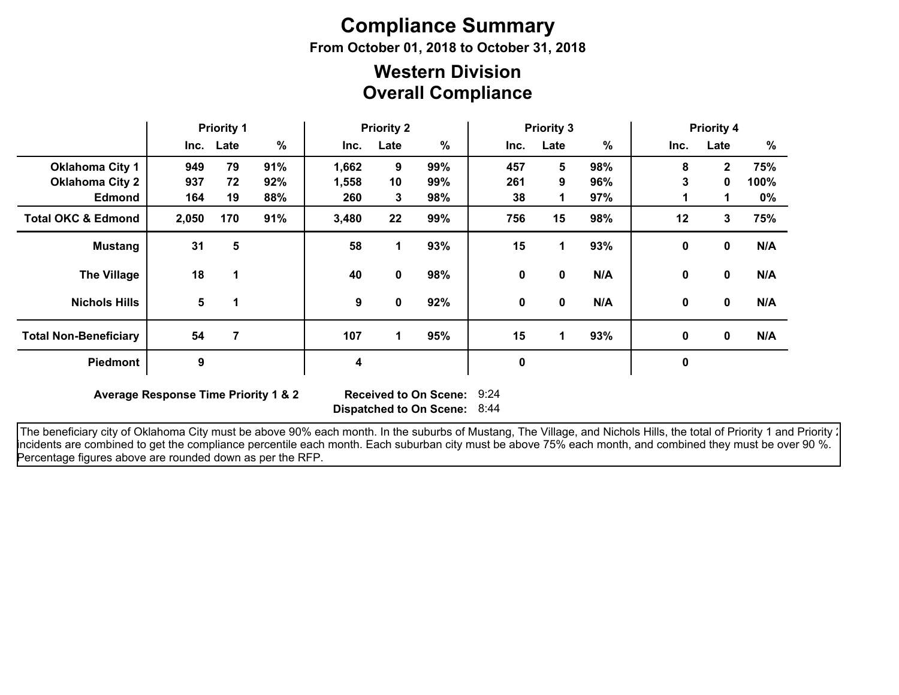# **Compliance Summary**

**From October 01, 2018 to October 31, 2018**

### **Overall Compliance Western Division**

|                               | <b>Priority 1</b> |           | <b>Priority 2</b> |       |             | <b>Priority 3</b> |      |             |      | <b>Priority 4</b> |                |       |
|-------------------------------|-------------------|-----------|-------------------|-------|-------------|-------------------|------|-------------|------|-------------------|----------------|-------|
|                               |                   | Inc. Late | $\%$              | Inc.  | Late        | $\%$              | Inc. | Late        | $\%$ | Inc.              | Late           | %     |
| <b>Oklahoma City 1</b>        | 949               | 79        | 91%               | 1,662 | 9           | 99%               | 457  | 5           | 98%  | 8                 | $\overline{2}$ | 75%   |
| <b>Oklahoma City 2</b>        | 937               | 72        | 92%               | 1,558 | 10          | 99%               | 261  | 9           | 96%  | 3                 | $\mathbf{0}$   | 100%  |
| <b>Edmond</b>                 | 164               | 19        | 88%               | 260   | 3           | 98%               | 38   | 1           | 97%  |                   | 1              | $0\%$ |
| <b>Total OKC &amp; Edmond</b> | 2,050             | 170       | 91%               | 3,480 | 22          | 99%               | 756  | 15          | 98%  | 12                | 3              | 75%   |
| <b>Mustang</b>                | 31                | 5         |                   | 58    | 1           | 93%               | 15   | 1           | 93%  | 0                 | $\mathbf 0$    | N/A   |
| <b>The Village</b>            | 18                | 1         |                   | 40    | 0           | 98%               | 0    | 0           | N/A  | 0                 | $\mathbf 0$    | N/A   |
| <b>Nichols Hills</b>          | 5                 | 1         |                   | 9     | $\mathbf 0$ | 92%               | 0    | $\mathbf 0$ | N/A  | 0                 | $\mathbf 0$    | N/A   |
| <b>Total Non-Beneficiary</b>  | 54                | 7         |                   | 107   | 1           | 95%               | 15   | 1           | 93%  | $\mathbf 0$       | $\mathbf 0$    | N/A   |
| <b>Piedmont</b>               | 9                 |           |                   | 4     |             |                   | 0    |             |      | $\mathbf 0$       |                |       |

**Average Response Time Priority 1 & 2** 

**Dispatched to On Scene:** 8:44 Received to On Scene: 9:24

The beneficiary city of Oklahoma City must be above 90% each month. In the suburbs of Mustang, The Village, and Nichols Hills, the total of Priority 1 and Priority : incidents are combined to get the compliance percentile each month. Each suburban city must be above 75% each month, and combined they must be over 90 %. Percentage figures above are rounded down as per the RFP.